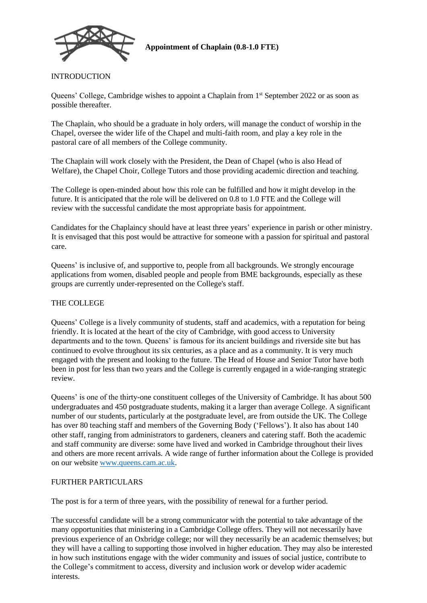

**Appointment of Chaplain (0.8-1.0 FTE)**

## INTRODUCTION

Queens' College, Cambridge wishes to appoint a Chaplain from 1<sup>st</sup> September 2022 or as soon as possible thereafter.

The Chaplain, who should be a graduate in holy orders, will manage the conduct of worship in the Chapel, oversee the wider life of the Chapel and multi-faith room, and play a key role in the pastoral care of all members of the College community.

The Chaplain will work closely with the President, the Dean of Chapel (who is also Head of Welfare), the Chapel Choir, College Tutors and those providing academic direction and teaching.

The College is open-minded about how this role can be fulfilled and how it might develop in the future. It is anticipated that the role will be delivered on 0.8 to 1.0 FTE and the College will review with the successful candidate the most appropriate basis for appointment.

Candidates for the Chaplaincy should have at least three years' experience in parish or other ministry. It is envisaged that this post would be attractive for someone with a passion for spiritual and pastoral care.

Queens' is inclusive of, and supportive to, people from all backgrounds. We strongly encourage applications from women, disabled people and people from BME backgrounds, especially as these groups are currently under-represented on the College's staff.

### THE COLLEGE

Queens' College is a lively community of students, staff and academics, with a reputation for being friendly. It is located at the heart of the city of Cambridge, with good access to University departments and to the town. Queens' is famous for its ancient buildings and riverside site but has continued to evolve throughout its six centuries, as a place and as a community. It is very much engaged with the present and looking to the future. The Head of House and Senior Tutor have both been in post for less than two years and the College is currently engaged in a wide-ranging strategic review.

Queens' is one of the thirty-one constituent colleges of the University of Cambridge. It has about 500 undergraduates and 450 postgraduate students, making it a larger than average College. A significant number of our students, particularly at the postgraduate level, are from outside the UK. The College has over 80 teaching staff and members of the Governing Body ('Fellows'). It also has about 140 other staff, ranging from administrators to gardeners, cleaners and catering staff. Both the academic and staff community are diverse: some have lived and worked in Cambridge throughout their lives and others are more recent arrivals. A wide range of further information about the College is provided on our website [www.queens.cam.ac.uk.](http://www.queens.cam.ac.uk/)

## FURTHER PARTICULARS

The post is for a term of three years, with the possibility of renewal for a further period.

The successful candidate will be a strong communicator with the potential to take advantage of the many opportunities that ministering in a Cambridge College offers. They will not necessarily have previous experience of an Oxbridge college; nor will they necessarily be an academic themselves; but they will have a calling to supporting those involved in higher education. They may also be interested in how such institutions engage with the wider community and issues of social justice, contribute to the College's commitment to access, diversity and inclusion work or develop wider academic interests.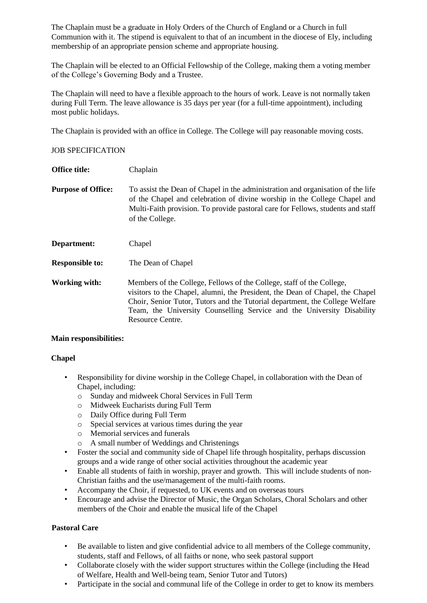The Chaplain must be a graduate in Holy Orders of the Church of England or a Church in full Communion with it. The stipend is equivalent to that of an incumbent in the diocese of Ely, including membership of an appropriate pension scheme and appropriate housing.

The Chaplain will be elected to an Official Fellowship of the College, making them a voting member of the College's Governing Body and a Trustee.

The Chaplain will need to have a flexible approach to the hours of work. Leave is not normally taken during Full Term. The leave allowance is 35 days per year (for a full-time appointment), including most public holidays.

The Chaplain is provided with an office in College. The College will pay reasonable moving costs.

### JOB SPECIFICATION

**Office title:** Chaplain **Purpose of Office:** To assist the Dean of Chapel in the administration and organisation of the life of the Chapel and celebration of divine worship in the College Chapel and Multi-Faith provision. To provide pastoral care for Fellows, students and staff of the College. **Department:** Chapel **Responsible to:** The Dean of Chapel **Working with:** Members of the College, Fellows of the College, staff of the College, visitors to the Chapel, alumni, the President, the Dean of Chapel, the Chapel Choir, Senior Tutor, Tutors and the Tutorial department, the College Welfare Team, the University Counselling Service and the University Disability Resource Centre.

#### **Main responsibilities:**

## **Chapel**

- Responsibility for divine worship in the College Chapel, in collaboration with the Dean of Chapel, including:
	- o Sunday and midweek Choral Services in Full Term
	- o Midweek Eucharists during Full Term
	- o Daily Office during Full Term
	- o Special services at various times during the year
	- o Memorial services and funerals
	- o A small number of Weddings and Christenings
- Foster the social and community side of Chapel life through hospitality, perhaps discussion groups and a wide range of other social activities throughout the academic year
- Enable all students of faith in worship, prayer and growth. This will include students of non-Christian faiths and the use/management of the multi-faith rooms.
- Accompany the Choir, if requested, to UK events and on overseas tours
- Encourage and advise the Director of Music, the Organ Scholars, Choral Scholars and other members of the Choir and enable the musical life of the Chapel

## **Pastoral Care**

- Be available to listen and give confidential advice to all members of the College community, students, staff and Fellows, of all faiths or none, who seek pastoral support
- Collaborate closely with the wider support structures within the College (including the Head of Welfare, Health and Well-being team, Senior Tutor and Tutors)
- Participate in the social and communal life of the College in order to get to know its members